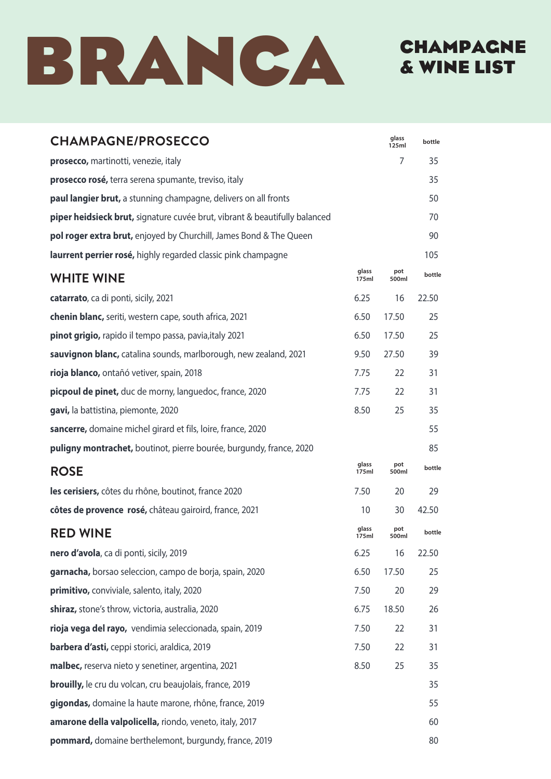

# CHAMPAGNE & WINE LIST

| <b>CHAMPAGNE/PROSECCO</b>                                                  |                | glass<br>125ml | bottle |
|----------------------------------------------------------------------------|----------------|----------------|--------|
| prosecco, martinotti, venezie, italy                                       |                | 7              | 35     |
| prosecco rosé, terra serena spumante, treviso, italy                       |                |                | 35     |
| paul langier brut, a stunning champagne, delivers on all fronts            |                |                | 50     |
| piper heidsieck brut, signature cuvée brut, vibrant & beautifully balanced |                |                | 70     |
| pol roger extra brut, enjoyed by Churchill, James Bond & The Queen         |                |                | 90     |
| laurrent perrier rosé, highly regarded classic pink champagne              |                |                | 105    |
| <b>WHITE WINE</b>                                                          | glass<br>175ml | pot<br>500ml   | bottle |
| catarrato, ca di ponti, sicily, 2021                                       | 6.25           | 16             | 22.50  |
| chenin blanc, seriti, western cape, south africa, 2021                     | 6.50           | 17.50          | 25     |
| pinot grigio, rapido il tempo passa, pavia, italy 2021                     | 6.50           | 17.50          | 25     |
| sauvignon blanc, catalina sounds, marlborough, new zealand, 2021           | 9.50           | 27.50          | 39     |
| rioja blanco, ontañó vetiver, spain, 2018                                  | 7.75           | 22             | 31     |
| picpoul de pinet, duc de morny, languedoc, france, 2020                    | 7.75           | 22             | 31     |
| gavi, la battistina, piemonte, 2020                                        | 8.50           | 25             | 35     |
| sancerre, domaine michel girard et fils, loire, france, 2020               |                |                | 55     |
| <b>puligny montrachet,</b> boutinot, pierre bourée, burgundy, france, 2020 |                |                | 85     |
| <b>ROSE</b>                                                                | glass<br>175ml | pot<br>500ml   | bottle |
| les cerisiers, côtes du rhône, boutinot, france 2020                       | 7.50           | 20             | 29     |
| côtes de provence rosé, château gairoird, france, 2021                     | 10             | 30             | 42.50  |
| <b>RED WINE</b>                                                            | glass<br>175ml | pot<br>500ml   | bottle |
| nero d'avola, ca di ponti, sicily, 2019                                    | 6.25           | 16             | 22.50  |
| garnacha, borsao seleccion, campo de borja, spain, 2020                    | 6.50           | 17.50          | 25     |
| primitivo, conviviale, salento, italy, 2020                                | 7.50           | 20             | 29     |
| shiraz, stone's throw, victoria, australia, 2020                           | 6.75           | 18.50          | 26     |
| rioja vega del rayo, vendimia seleccionada, spain, 2019                    | 7.50           | 22             | 31     |
| <b>barbera d'asti, ceppi storici, araldica, 2019</b>                       | 7.50           | 22             | 31     |
| malbec, reserva nieto y senetiner, argentina, 2021                         | 8.50           | 25             | 35     |
| <b>brouilly,</b> le cru du volcan, cru beaujolais, france, 2019            |                |                | 35     |
| gigondas, domaine la haute marone, rhône, france, 2019                     |                |                | 55     |
| amarone della valpolicella, riondo, veneto, italy, 2017                    |                |                | 60     |
| pommard, domaine berthelemont, burgundy, france, 2019                      |                |                | 80     |